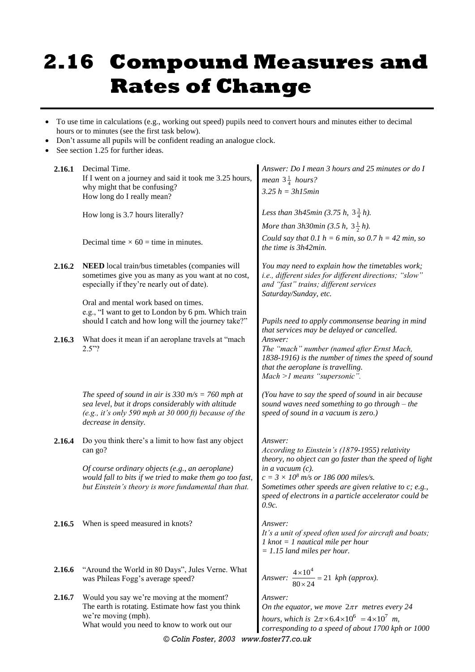## **2.16 Compound Measures and Rates of Change**

- To use time in calculations (e.g., working out speed) pupils need to convert hours and minutes either to decimal hours or to minutes (see the first task below).
- Don't assume all pupils will be confident reading an analogue clock.
- See section 1.25 for further ideas.

| Decimal Time.<br>If I went on a journey and said it took me 3.25 hours,<br>why might that be confusing?<br>How long do I really mean?                                                    | Answer: Do I mean 3 hours and 25 minutes or do I<br><i>mean</i> $3\frac{1}{4}$ <i>hours?</i><br>$3.25 h = 3h15min$                                                                               |
|------------------------------------------------------------------------------------------------------------------------------------------------------------------------------------------|--------------------------------------------------------------------------------------------------------------------------------------------------------------------------------------------------|
| How long is 3.7 hours literally?                                                                                                                                                         | Less than 3h45min (3.75 h, $3\frac{3}{4}$ h).                                                                                                                                                    |
| Decimal time $\times$ 60 = time in minutes.                                                                                                                                              | More than 3h30min (3.5 h, $3\frac{1}{2}$ h).<br>Could say that 0.1 h = 6 min, so 0.7 h = 42 min, so<br>the time is 3h42min.                                                                      |
| NEED local train/bus timetables (companies will<br>sometimes give you as many as you want at no cost,<br>especially if they're nearly out of date).                                      | You may need to explain how the timetables work;<br>i.e., different sides for different directions; "slow"<br>and "fast" trains; different services<br>Saturday/Sunday, etc.                     |
| e.g., "I want to get to London by 6 pm. Which train<br>should I catch and how long will the journey take?"                                                                               | Pupils need to apply commonsense bearing in mind<br>that services may be delayed or cancelled.                                                                                                   |
| What does it mean if an aeroplane travels at "mach<br>2.5"?                                                                                                                              | Answer:<br>The "mach" number (named after Ernst Mach,<br>1838-1916) is the number of times the speed of sound<br>that the aeroplane is travelling.<br>Mach >1 means "supersonic".                |
| The speed of sound in air is 330 m/s = 760 mph at<br>sea level, but it drops considerably with altitude<br>(e.g., it's only 590 mph at 30 000 ft) because of the<br>decrease in density. | (You have to say the speed of sound in air because<br>sound waves need something to go through - the<br>speed of sound in a vacuum is zero.)                                                     |
| Do you think there's a limit to how fast any object<br>can go?                                                                                                                           | Answer:<br>According to Einstein's (1879-1955) relativity<br>theory, no object can go faster than the speed of light                                                                             |
| Of course ordinary objects (e.g., an aeroplane)<br>would fall to bits if we tried to make them go too fast,<br>but Einstein's theory is more fundamental than that.                      | in a vacuum $(c)$ .<br>$c = 3 \times 10^8$ m/s or 186 000 miles/s.<br>Sometimes other speeds are given relative to $c$ ; e.g.,<br>speed of electrons in a particle accelerator could be<br>0.9c. |
| When is speed measured in knots?                                                                                                                                                         | Answer:<br>It's a unit of speed often used for aircraft and boats;<br>$1$ knot = $1$ nautical mile per hour<br>$= 1.15$ land miles per hour.                                                     |
| "Around the World in 80 Days", Jules Verne. What<br>was Phileas Fogg's average speed?                                                                                                    | Answer: $\frac{4\times10^4}{20\times10^4}$ = 21 kph (approx).                                                                                                                                    |
| Would you say we're moving at the moment?<br>The earth is rotating. Estimate how fast you think<br>we're moving (mph).<br>What would you need to know to work out our                    | Answer:<br>On the equator, we move $2\pi r$ metres every 24<br>hours, which is $2\pi \times 6.4 \times 10^6 = 4 \times 10^7$ m,<br>corresponding to a speed of about 1700 kph or 1000            |
|                                                                                                                                                                                          | Oral and mental work based on times.                                                                                                                                                             |

*© Colin Foster, 2003 www.foster77.co.uk*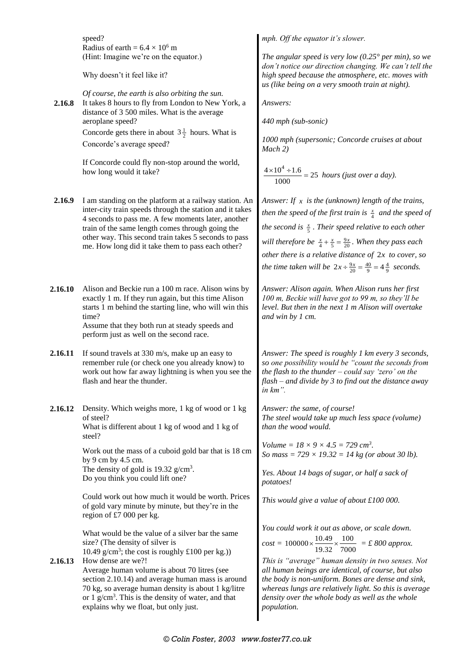|         | speed?                                                                                                                                                                                                                                                                                                                                | mph. Off the equator it's slower.                                                                                                                                                                                                                                                                                                                                                            |  |  |  |  |  |
|---------|---------------------------------------------------------------------------------------------------------------------------------------------------------------------------------------------------------------------------------------------------------------------------------------------------------------------------------------|----------------------------------------------------------------------------------------------------------------------------------------------------------------------------------------------------------------------------------------------------------------------------------------------------------------------------------------------------------------------------------------------|--|--|--|--|--|
|         | Radius of earth = $6.4 \times 10^6$ m<br>(Hint: Imagine we're on the equator.)                                                                                                                                                                                                                                                        | The angular speed is very low (0.25 $^{\circ}$ per min), so we<br>don't notice our direction changing. We can't tell the<br>high speed because the atmosphere, etc. moves with<br>us (like being on a very smooth train at night).                                                                                                                                                           |  |  |  |  |  |
|         | Why doesn't it feel like it?                                                                                                                                                                                                                                                                                                          |                                                                                                                                                                                                                                                                                                                                                                                              |  |  |  |  |  |
| 2.16.8  | Of course, the earth is also orbiting the sun.<br>It takes 8 hours to fly from London to New York, a<br>distance of 3 500 miles. What is the average                                                                                                                                                                                  | Answers:                                                                                                                                                                                                                                                                                                                                                                                     |  |  |  |  |  |
|         | aeroplane speed?<br>Concorde gets there in about $3\frac{1}{2}$ hours. What is                                                                                                                                                                                                                                                        | 440 mph (sub-sonic)                                                                                                                                                                                                                                                                                                                                                                          |  |  |  |  |  |
|         | Concorde's average speed?                                                                                                                                                                                                                                                                                                             | 1000 mph (supersonic; Concorde cruises at about<br>$Mach$ 2)                                                                                                                                                                                                                                                                                                                                 |  |  |  |  |  |
|         | If Concorde could fly non-stop around the world,<br>how long would it take?                                                                                                                                                                                                                                                           | $\frac{4 \times 10^4 \div 1.6}{2} = 25$ hours (just over a day).                                                                                                                                                                                                                                                                                                                             |  |  |  |  |  |
| 2.16.9  | I am standing on the platform at a railway station. An<br>inter-city train speeds through the station and it takes<br>4 seconds to pass me. A few moments later, another                                                                                                                                                              | Answer: If $x$ is the (unknown) length of the trains,<br>then the speed of the first train is $\frac{x}{4}$ and the speed of                                                                                                                                                                                                                                                                 |  |  |  |  |  |
|         | train of the same length comes through going the<br>other way. This second train takes 5 seconds to pass                                                                                                                                                                                                                              | the second is $\frac{x}{5}$ . Their speed relative to each other                                                                                                                                                                                                                                                                                                                             |  |  |  |  |  |
|         | me. How long did it take them to pass each other?                                                                                                                                                                                                                                                                                     | will therefore be $\frac{x}{4} + \frac{x}{5} = \frac{9x}{20}$ . When they pass each<br>other there is a relative distance of $2x$ to cover, so<br>the time taken will be $2x \div \frac{9x}{20} = \frac{40}{9} = 4\frac{4}{9}$ seconds.                                                                                                                                                      |  |  |  |  |  |
|         |                                                                                                                                                                                                                                                                                                                                       |                                                                                                                                                                                                                                                                                                                                                                                              |  |  |  |  |  |
| 2.16.10 | Alison and Beckie run a 100 m race. Alison wins by<br>exactly 1 m. If they run again, but this time Alison<br>starts 1 m behind the starting line, who will win this<br>time?<br>Assume that they both run at steady speeds and<br>perform just as well on the second race.                                                           | Answer: Alison again. When Alison runs her first<br>100 m, Beckie will have got to 99 m, so they'll be<br>level. But then in the next 1 m Alison will overtake<br>and win by 1 cm.                                                                                                                                                                                                           |  |  |  |  |  |
| 2.16.11 | If sound travels at 330 m/s, make up an easy to<br>remember rule (or check one you already know) to<br>work out how far away lightning is when you see the<br>flash and hear the thunder.                                                                                                                                             | Answer: The speed is roughly 1 km every 3 seconds,<br>so one possibility would be "count the seconds from<br>the flash to the thunder $-$ could say 'zero' on the<br>$flash$ – and divide by 3 to find out the distance away<br>in km".                                                                                                                                                      |  |  |  |  |  |
| 2.16.12 | Density. Which weighs more, 1 kg of wood or 1 kg<br>of steel?<br>What is different about 1 kg of wood and 1 kg of<br>steel?                                                                                                                                                                                                           | Answer: the same, of course!<br>The steel would take up much less space (volume)<br>than the wood would.                                                                                                                                                                                                                                                                                     |  |  |  |  |  |
|         | Work out the mass of a cuboid gold bar that is 18 cm<br>by 9 cm by 4.5 cm.                                                                                                                                                                                                                                                            | Volume = $18 \times 9 \times 4.5 = 729$ cm <sup>3</sup> .<br>So mass = $729 \times 19.32 = 14$ kg (or about 30 lb).                                                                                                                                                                                                                                                                          |  |  |  |  |  |
|         | The density of gold is 19.32 $g/cm3$ .<br>Do you think you could lift one?                                                                                                                                                                                                                                                            | Yes. About 14 bags of sugar, or half a sack of<br>potatoes!                                                                                                                                                                                                                                                                                                                                  |  |  |  |  |  |
|         | Could work out how much it would be worth. Prices<br>of gold vary minute by minute, but they're in the<br>region of £7 000 per kg.                                                                                                                                                                                                    | This would give a value of about £100 000.                                                                                                                                                                                                                                                                                                                                                   |  |  |  |  |  |
| 2.16.13 | What would be the value of a silver bar the same<br>size? (The density of silver is<br>10.49 g/cm <sup>3</sup> ; the cost is roughly £100 per kg.))<br>How dense are we?!<br>Average human volume is about 70 litres (see<br>section 2.10.14) and average human mass is around<br>70 kg, so average human density is about 1 kg/litre | You could work it out as above, or scale down.<br>$cost = 100000 \times \frac{10.49}{19.32} \times \frac{100}{7000} = \text{\textsterling} 800 \text{ approx.}$<br>This is "average" human density in two senses. Not<br>all human beings are identical, of course, but also<br>the body is non-uniform. Bones are dense and sink,<br>whereas lungs are relatively light. So this is average |  |  |  |  |  |
|         | or 1 $g/cm3$ . This is the density of water, and that<br>explains why we float, but only just.                                                                                                                                                                                                                                        | density over the whole body as well as the whole<br>population.                                                                                                                                                                                                                                                                                                                              |  |  |  |  |  |